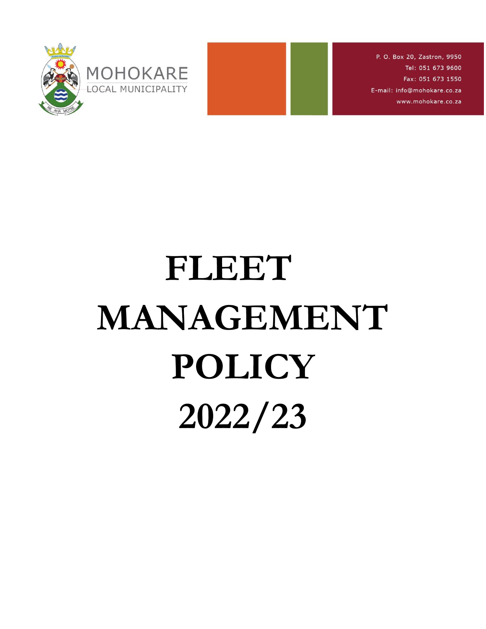

P. O. Box 20, Zastron, 9950 Tel: 051 673 9600 Fax: 051 673 1550 E-mail: info@mohokare.co.za www.mohokare.co.za

# **FLEET MANAGEMENT POLICY 2022/23**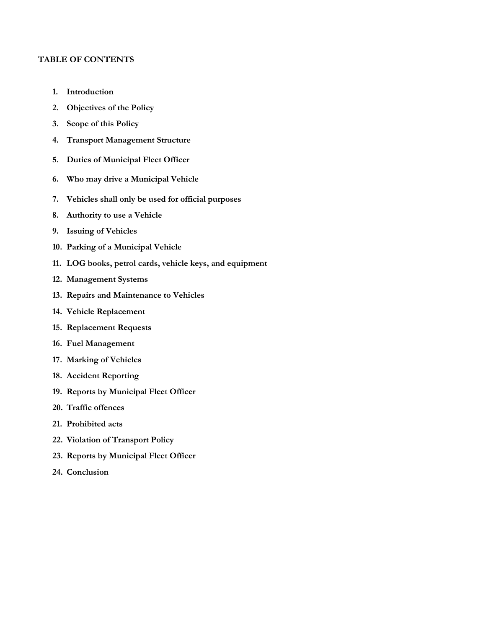#### **TABLE OF CONTENTS**

- **1. Introduction**
- **2. Objectives of the Policy**
- **3. Scope of this Policy**
- **4. Transport Management Structure**
- **5. Duties of Municipal Fleet Officer**
- **6. Who may drive a Municipal Vehicle**
- **7. Vehicles shall only be used for official purposes**
- **8. Authority to use a Vehicle**
- **9. Issuing of Vehicles**
- **10. Parking of a Municipal Vehicle**
- **11. LOG books, petrol cards, vehicle keys, and equipment**
- **12. Management Systems**
- **13. Repairs and Maintenance to Vehicles**
- **14. Vehicle Replacement**
- **15. Replacement Requests**
- **16. Fuel Management**
- **17. Marking of Vehicles**
- **18. Accident Reporting**
- **19. Reports by Municipal Fleet Officer**
- **20. Traffic offences**
- **21. Prohibited acts**
- **22. Violation of Transport Policy**
- **23. Reports by Municipal Fleet Officer**
- **24. Conclusion**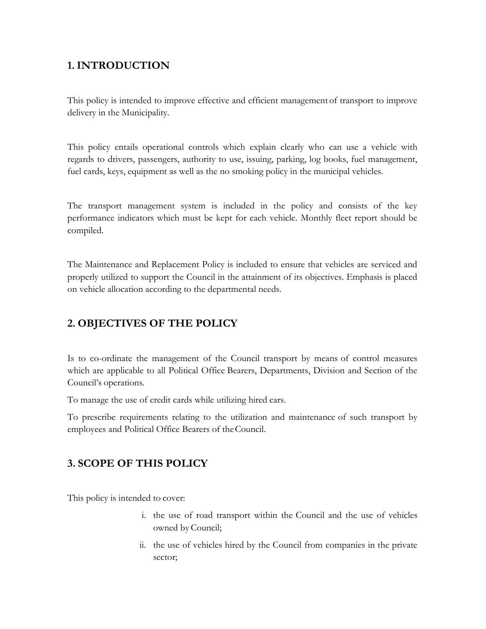# **1.INTRODUCTION**

This policy is intended to improve effective and efficient management of transport to improve delivery in the Municipality.

This policy entails operational controls which explain clearly who can use a vehicle with regards to drivers, passengers, authority to use, issuing, parking, log books, fuel management, fuel cards, keys, equipment as well as the no smoking policy in the municipal vehicles.

The transport management system is included in the policy and consists of the key performance indicators which must be kept for each vehicle. Monthly fleet report should be compiled.

The Maintenance and Replacement Policy is included to ensure that vehicles are serviced and properly utilized to support the Council in the attainment of its objectives. Emphasis is placed on vehicle allocation according to the departmental needs.

# **2. OBJECTIVES OF THE POLICY**

Is to co-ordinate the management of the Council transport by means of control measures which are applicable to all Political Office Bearers, Departments, Division and Section of the Council's operations.

To manage the use of credit cards while utilizing hired cars.

To prescribe requirements relating to the utilization and maintenance of such transport by employees and Political Office Bearers of theCouncil.

## **3. SCOPE OF THIS POLICY**

This policy is intended to cover:

- i. the use of road transport within the Council and the use of vehicles owned by Council;
- ii. the use of vehicles hired by the Council from companies in the private sector;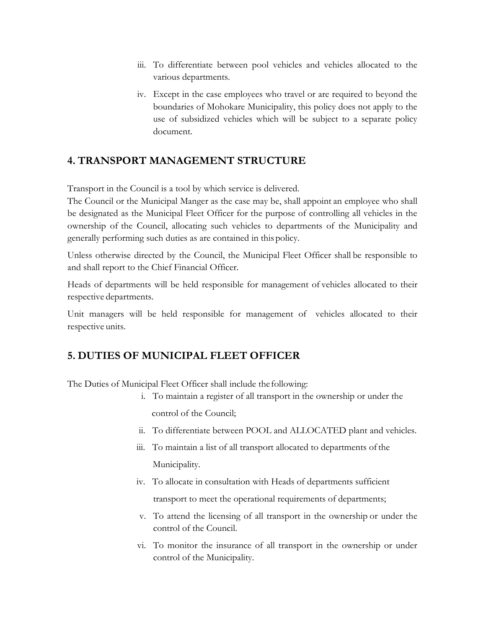- iii. To differentiate between pool vehicles and vehicles allocated to the various departments.
- iv. Except in the case employees who travel or are required to beyond the boundaries of Mohokare Municipality, this policy does not apply to the use of subsidized vehicles which will be subject to a separate policy document.

## **4. TRANSPORT MANAGEMENT STRUCTURE**

Transport in the Council is a tool by which service is delivered.

The Council or the Municipal Manger as the case may be, shall appoint an employee who shall be designated as the Municipal Fleet Officer for the purpose of controlling all vehicles in the ownership of the Council, allocating such vehicles to departments of the Municipality and generally performing such duties as are contained in this policy.

Unless otherwise directed by the Council, the Municipal Fleet Officer shall be responsible to and shall report to the Chief Financial Officer.

Heads of departments will be held responsible for management of vehicles allocated to their respective departments.

Unit managers will be held responsible for management of vehicles allocated to their respective units.

## **5. DUTIES OF MUNICIPAL FLEET OFFICER**

The Duties of Municipal Fleet Officer shall include thefollowing:

- i. To maintain a register of all transport in the ownership or under the control of the Council;
- ii. To differentiate between POOL and ALLOCATED plant and vehicles.
- iii. To maintain a list of all transport allocated to departments ofthe Municipality.
- iv. To allocate in consultation with Heads of departments sufficient transport to meet the operational requirements of departments;
- v. To attend the licensing of all transport in the ownership or under the control of the Council.
- vi. To monitor the insurance of all transport in the ownership or under control of the Municipality.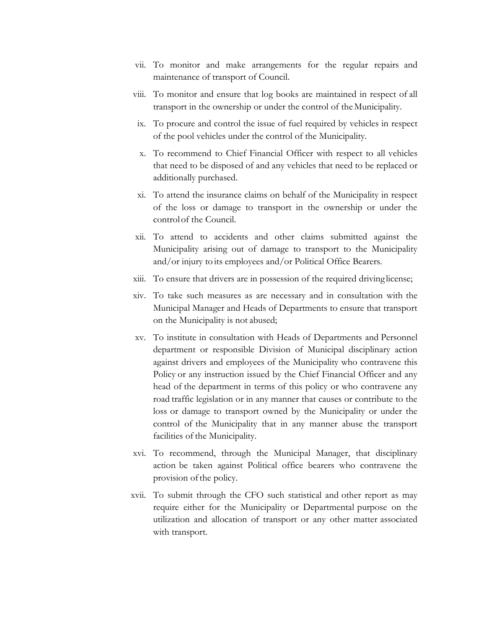- vii. To monitor and make arrangements for the regular repairs and maintenance of transport of Council.
- viii. To monitor and ensure that log books are maintained in respect of all transport in the ownership or under the control of the Municipality.
- ix. To procure and control the issue of fuel required by vehicles in respect of the pool vehicles under the control of the Municipality.
- x. To recommend to Chief Financial Officer with respect to all vehicles that need to be disposed of and any vehicles that need to be replaced or additionally purchased.
- xi. To attend the insurance claims on behalf of the Municipality in respect of the loss or damage to transport in the ownership or under the control of the Council.
- xii. To attend to accidents and other claims submitted against the Municipality arising out of damage to transport to the Municipality and/or injury to its employees and/or Political Office Bearers.
- xiii. To ensure that drivers are in possession of the required driving license;
- xiv. To take such measures as are necessary and in consultation with the Municipal Manager and Heads of Departments to ensure that transport on the Municipality is not abused;
- xv. To institute in consultation with Heads of Departments and Personnel department or responsible Division of Municipal disciplinary action against drivers and employees of the Municipality who contravene this Policy or any instruction issued by the Chief Financial Officer and any head of the department in terms of this policy or who contravene any road traffic legislation or in any manner that causes or contribute to the loss or damage to transport owned by the Municipality or under the control of the Municipality that in any manner abuse the transport facilities of the Municipality.
- xvi. To recommend, through the Municipal Manager, that disciplinary action be taken against Political office bearers who contravene the provision of the policy.
- xvii. To submit through the CFO such statistical and other report as may require either for the Municipality or Departmental purpose on the utilization and allocation of transport or any other matter associated with transport.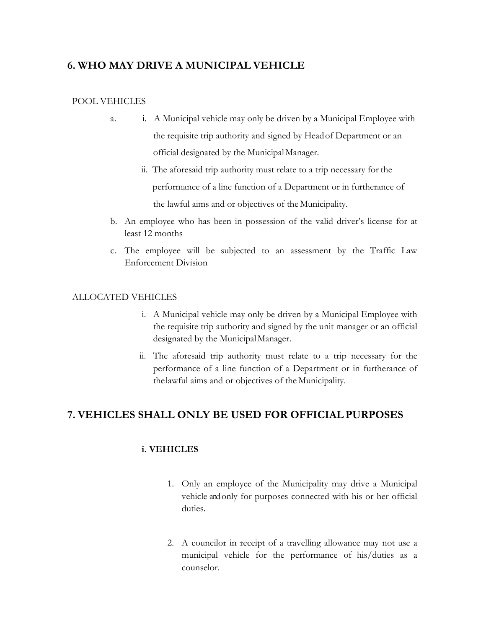## **6. WHO MAY DRIVE A MUNICIPAL VEHICLE**

#### POOL VEHICLES

- a. i. A Municipal vehicle may only be driven by a Municipal Employee with the requisite trip authority and signed by Headof Department or an official designated by the MunicipalManager.
	- ii. The aforesaid trip authority must relate to a trip necessary for the performance of a line function of a Department or in furtherance of the lawful aims and or objectives of the Municipality.
- b. An employee who has been in possession of the valid driver's license for at least 12 months
- c. The employee will be subjected to an assessment by the Traffic Law Enforcement Division

#### ALLOCATED VEHICLES

- i. A Municipal vehicle may only be driven by a Municipal Employee with the requisite trip authority and signed by the unit manager or an official designated by the MunicipalManager.
- ii. The aforesaid trip authority must relate to a trip necessary for the performance of a line function of a Department or in furtherance of thelawful aims and or objectives of the Municipality.

## **7. VEHICLES SHALL ONLY BE USED FOR OFFICIAL PURPOSES**

#### **i. VEHICLES**

- 1. Only an employee of the Municipality may drive a Municipal vehicle and only for purposes connected with his or her official duties.
- 2. A councilor in receipt of a travelling allowance may not use a municipal vehicle for the performance of his/duties as a counselor.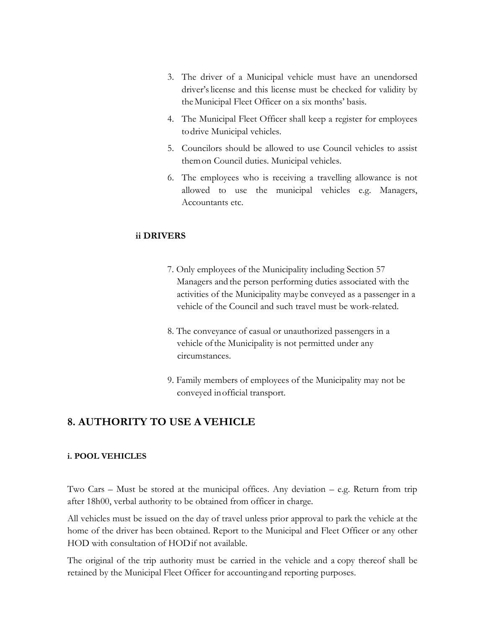- 3. The driver of a Municipal vehicle must have an unendorsed driver'slicense and this license must be checked for validity by theMunicipal Fleet Officer on a six months' basis.
- 4. The Municipal Fleet Officer shall keep a register for employees todrive Municipal vehicles.
- 5. Councilors should be allowed to use Council vehicles to assist themon Council duties. Municipal vehicles.
- 6. The employees who is receiving a travelling allowance is not allowed to use the municipal vehicles e.g. Managers, Accountants etc.

## **ii DRIVERS**

- 7. Only employees of the Municipality including Section 57 Managers and the person performing duties associated with the activities of the Municipality maybe conveyed as a passenger in a vehicle of the Council and such travel must be work-related.
- 8. The conveyance of casual or unauthorized passengers in a vehicle of the Municipality is not permitted under any circumstances.
- 9. Family members of employees of the Municipality may not be conveyed inofficial transport.

# **8. AUTHORITY TO USE A VEHICLE**

#### **i. POOL VEHICLES**

Two Cars – Must be stored at the municipal offices. Any deviation – e.g. Return from trip after 18h00, verbal authority to be obtained from officer in charge.

All vehicles must be issued on the day of travel unless prior approval to park the vehicle at the home of the driver has been obtained. Report to the Municipal and Fleet Officer or any other HOD with consultation of HODif not available.

The original of the trip authority must be carried in the vehicle and a copy thereof shall be retained by the Municipal Fleet Officer for accounting and reporting purposes.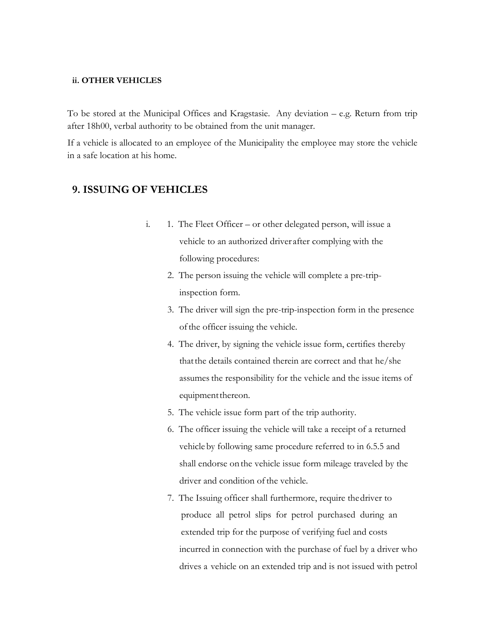#### **ii. OTHER VEHICLES**

To be stored at the Municipal Offices and Kragstasie. Any deviation – e.g. Return from trip after 18h00, verbal authority to be obtained from the unit manager.

If a vehicle is allocated to an employee of the Municipality the employee may store the vehicle in a safe location at his home.

## **9. ISSUING OF VEHICLES**

- i. 1. The Fleet Officer or other delegated person, will issue a vehicle to an authorized driver after complying with the following procedures:
	- 2. The person issuing the vehicle will complete a pre-trip inspection form.
	- 3. The driver will sign the pre-trip-inspection form in the presence ofthe officer issuing the vehicle.
	- 4. The driver, by signing the vehicle issue form, certifies thereby thatthe details contained therein are correct and that he/she assumes the responsibility for the vehicle and the issue items of equipment thereon.
	- 5. The vehicle issue form part of the trip authority.
	- 6. The officer issuing the vehicle will take a receipt of a returned vehicle by following same procedure referred to in 6.5.5 and shall endorse on the vehicle issue form mileage traveled by the driver and condition of the vehicle.
	- 7. The Issuing officer shall furthermore, require thedriver to produce all petrol slips for petrol purchased during an extended trip for the purpose of verifying fuel and costs incurred in connection with the purchase of fuel by a driver who drives a vehicle on an extended trip and is not issued with petrol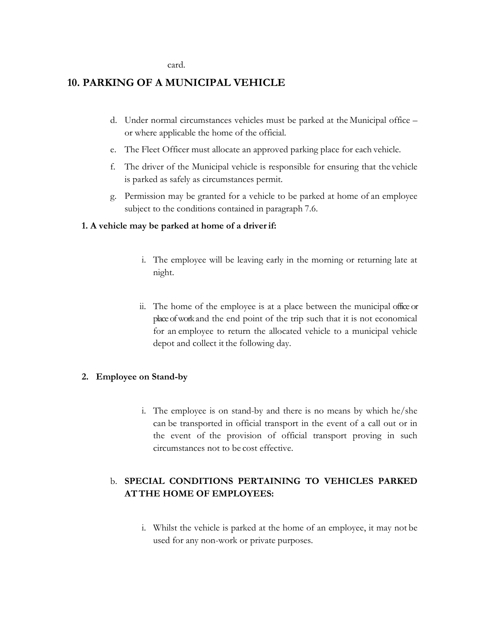card.

#### **10. PARKING OF A MUNICIPAL VEHICLE**

- d. Under normal circumstances vehicles must be parked at the Municipal office or where applicable the home of the official.
- e. The Fleet Officer must allocate an approved parking place for each vehicle.
- f. The driver of the Municipal vehicle is responsible for ensuring that the vehicle is parked as safely as circumstances permit.
- g. Permission may be granted for a vehicle to be parked at home of an employee subject to the conditions contained in paragraph 7.6.

#### **1. A vehicle may be parked at home of a driverif:**

- i. The employee will be leaving early in the morning or returning late at night.
- ii. The home of the employee is at a place between the municipal office or place of work and the end point of the trip such that it is not economical for an employee to return the allocated vehicle to a municipal vehicle depot and collect it the following day.

#### **2. Employee on Stand-by**

i. The employee is on stand-by and there is no means by which he/she can be transported in official transport in the event of a call out or in the event of the provision of official transport proving in such circumstances not to be cost effective.

## b. **SPECIAL CONDITIONS PERTAINING TO VEHICLES PARKED ATTHE HOME OF EMPLOYEES:**

i. Whilst the vehicle is parked at the home of an employee, it may not be used for any non-work or private purposes.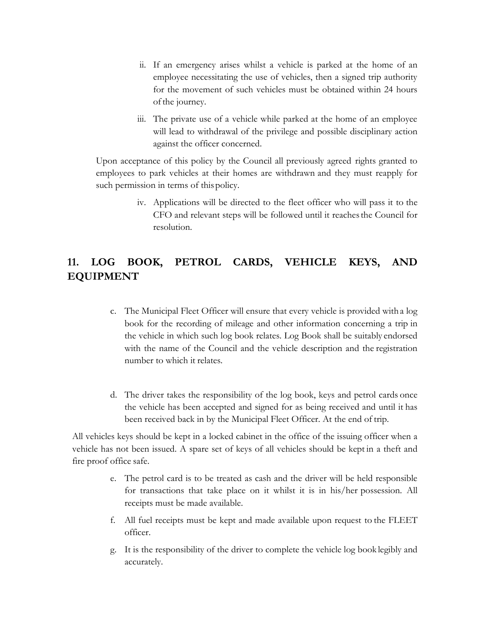- ii. If an emergency arises whilst a vehicle is parked at the home of an employee necessitating the use of vehicles, then a signed trip authority for the movement of such vehicles must be obtained within 24 hours ofthe journey.
- iii. The private use of a vehicle while parked at the home of an employee will lead to withdrawal of the privilege and possible disciplinary action against the officer concerned.

Upon acceptance of this policy by the Council all previously agreed rights granted to employees to park vehicles at their homes are withdrawn and they must reapply for such permission in terms of thispolicy.

> iv. Applications will be directed to the fleet officer who will pass it to the CFO and relevant steps will be followed until it reachesthe Council for resolution.

# **11. LOG BOOK, PETROL CARDS, VEHICLE KEYS, AND EQUIPMENT**

- c. The Municipal Fleet Officer will ensure that every vehicle is provided with a log book for the recording of mileage and other information concerning a trip in the vehicle in which such log book relates. Log Book shall be suitably endorsed with the name of the Council and the vehicle description and the registration number to which it relates.
- d. The driver takes the responsibility of the log book, keys and petrol cards once the vehicle has been accepted and signed for as being received and until it has been received back in by the Municipal Fleet Officer. At the end of trip.

All vehicles keys should be kept in a locked cabinet in the office of the issuing officer when a vehicle has not been issued. A spare set of keys of all vehicles should be kept in a theft and fire proof office safe.

- e. The petrol card is to be treated as cash and the driver will be held responsible for transactions that take place on it whilst it is in his/her possession. All receipts must be made available.
- f. All fuel receipts must be kept and made available upon request to the FLEET officer.
- g. It is the responsibility of the driver to complete the vehicle log book legibly and accurately.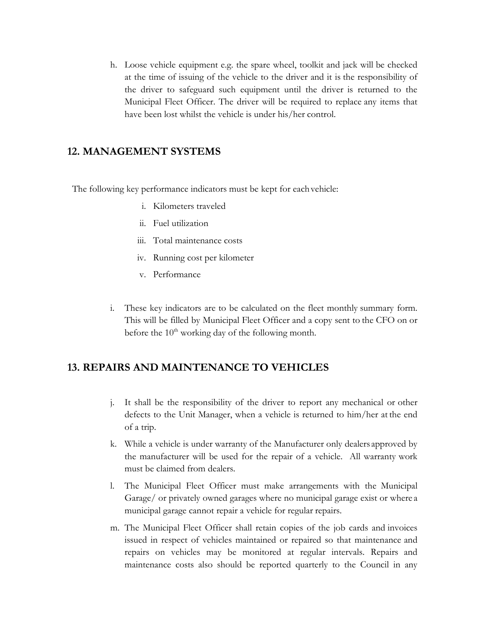h. Loose vehicle equipment e.g. the spare wheel, toolkit and jack will be checked at the time of issuing of the vehicle to the driver and it is the responsibility of the driver to safeguard such equipment until the driver is returned to the Municipal Fleet Officer. The driver will be required to replace any items that have been lost whilst the vehicle is under his/her control.

### **12. MANAGEMENT SYSTEMS**

The following key performance indicators must be kept for eachvehicle:

- i. Kilometers traveled
- ii. Fuel utilization
- iii. Total maintenance costs
- iv. Running cost per kilometer
- v. Performance
- i. These key indicators are to be calculated on the fleet monthly summary form. This will be filled by Municipal Fleet Officer and a copy sent to the CFO on or before the  $10<sup>th</sup>$  working day of the following month.

## **13. REPAIRS AND MAINTENANCE TO VEHICLES**

- j. It shall be the responsibility of the driver to report any mechanical or other defects to the Unit Manager, when a vehicle is returned to him/her at the end of a trip.
- k. While a vehicle is under warranty of the Manufacturer only dealers approved by the manufacturer will be used for the repair of a vehicle. All warranty work must be claimed from dealers.
- l. The Municipal Fleet Officer must make arrangements with the Municipal Garage/ or privately owned garages where no municipal garage exist or where a municipal garage cannot repair a vehicle for regular repairs.
- m. The Municipal Fleet Officer shall retain copies of the job cards and invoices issued in respect of vehicles maintained or repaired so that maintenance and repairs on vehicles may be monitored at regular intervals. Repairs and maintenance costs also should be reported quarterly to the Council in any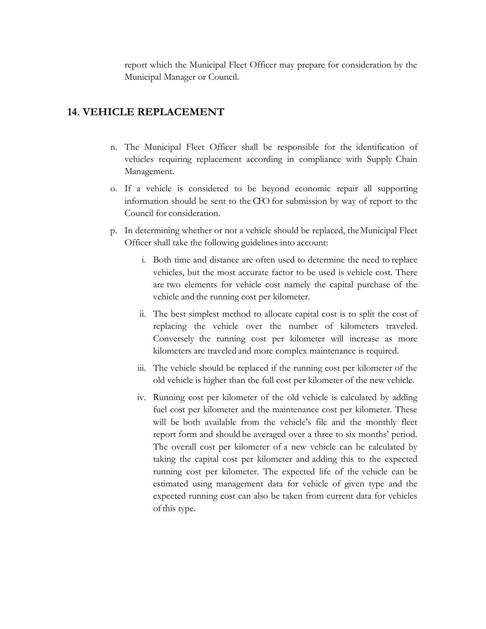report which the Municipal Fleet Officer may prepare for consideration by the Municipal Manager or Council.

## **14. VEHICLE REPLACEMENT**

- n. The Municipal Fleet Officer shall be responsible for the identification of vehicles requiring replacement according in compliance with Supply Chain Management.
- o. If a vehicle is considered to be beyond economic repair all supporting information should be sent to the CFO for submission by way of report to the Council for consideration.
- p. In determining whether or not a vehicle should be replaced, theMunicipal Fleet Officer shall take the following guidelines into account:
	- i. Both time and distance are often used to determine the need to replace vehicles, but the most accurate factor to be used is vehicle cost. There are two elements for vehicle cost namely the capital purchase of the vehicle and the running cost per kilometer.
	- ii. The best simplest method to allocate capital cost is to split the cost of replacing the vehicle over the number of kilometers traveled. Conversely the running cost per kilometer will increase as more kilometers are traveled and more complex maintenance is required.
	- iii. The vehicle should be replaced if the running cost per kilometer of the old vehicle is higher than the full cost per kilometer of the new vehicle.
	- iv. Running cost per kilometer of the old vehicle is calculated by adding fuel cost per kilometer and the maintenance cost per kilometer. These will be both available from the vehicle's file and the monthly fleet report form and should be averaged over a three to six months' period. The overall cost per kilometer of a new vehicle can be calculated by taking the capital cost per kilometer and adding this to the expected running cost per kilometer. The expected life of the vehicle can be estimated using management data for vehicle of given type and the expected running cost can also be taken from current data for vehicles ofthis type.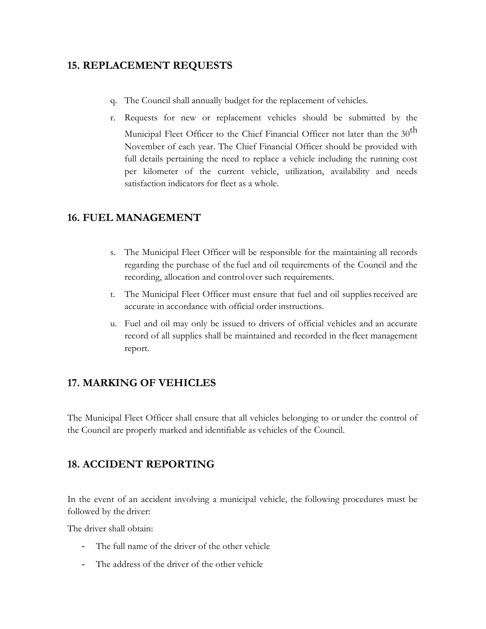# **15. REPLACEMENT REQUESTS**

- q. The Council shall annually budget for the replacement of vehicles.
- r. Requests for new or replacement vehicles should be submitted by the Municipal Fleet Officer to the Chief Financial Officer not later than the 30<sup>th</sup> November of each year. The Chief Financial Officer should be provided with full details pertaining the need to replace a vehicle including the running cost per kilometer of the current vehicle, utilization, availability and needs satisfaction indicators for fleet as a whole.

# **16. FUEL MANAGEMENT**

- s. The Municipal Fleet Officer will be responsible for the maintaining all records regarding the purchase of the fuel and oil requirements of the Council and the recording, allocation and controlover such requirements.
- t. The Municipal Fleet Officer must ensure that fuel and oil supplies received are accurate in accordance with official order instructions.
- u. Fuel and oil may only be issued to drivers of official vehicles and an accurate record of all supplies shall be maintained and recorded in the fleet management report.

# **17. MARKING OF VEHICLES**

The Municipal Fleet Officer shall ensure that all vehicles belonging to or under the control of the Council are properly marked and identifiable as vehicles of the Council.

# **18. ACCIDENT REPORTING**

In the event of an accident involving a municipal vehicle, the following procedures must be followed by the driver:

The driver shall obtain:

- The full name of the driver of the other vehicle
- The address of the driver of the other vehicle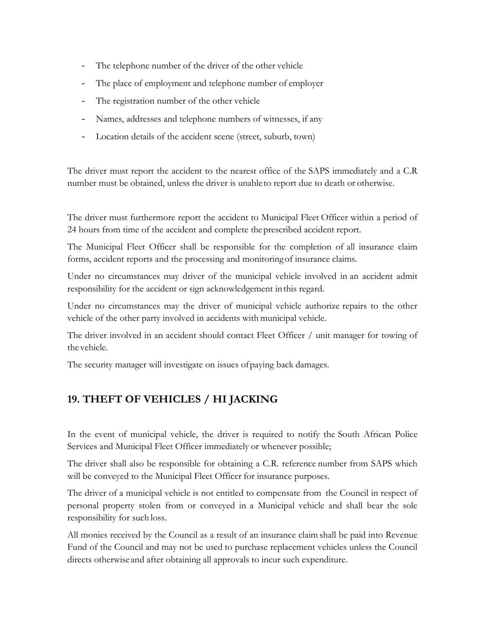- The telephone number of the driver of the other vehicle
- The place of employment and telephone number of employer
- The registration number of the other vehicle
- Names, addresses and telephone numbers of witnesses, if any
- Location details of the accident scene (street, suburb, town)

The driver must report the accident to the nearest office of the SAPS immediately and a C.R number must be obtained, unless the driver is unable to report due to death or otherwise.

The driver must furthermore report the accident to Municipal Fleet Officer within a period of 24 hours from time of the accident and complete theprescribed accident report.

The Municipal Fleet Officer shall be responsible for the completion of all insurance claim forms, accident reports and the processing and monitoringof insurance claims.

Under no circumstances may driver of the municipal vehicle involved in an accident admit responsibility for the accident or sign acknowledgement inthis regard.

Under no circumstances may the driver of municipal vehicle authorize repairs to the other vehicle of the other party involved in accidents with municipal vehicle.

The driver involved in an accident should contact Fleet Officer / unit manager for towing of the vehicle.

The security manager will investigate on issues ofpaying back damages.

# **19. THEFT OF VEHICLES / HI JACKING**

In the event of municipal vehicle, the driver is required to notify the South African Police Services and Municipal Fleet Officer immediately or whenever possible;

The driver shall also be responsible for obtaining a C.R. reference number from SAPS which will be conveyed to the Municipal Fleet Officer for insurance purposes.

The driver of a municipal vehicle is not entitled to compensate from the Council in respect of personal property stolen from or conveyed in a Municipal vehicle and shall bear the sole responsibility for such loss.

All monies received by the Council as a result of an insurance claim shall be paid into Revenue Fund of the Council and may not be used to purchase replacement vehicles unless the Council directs otherwise and after obtaining all approvals to incur such expenditure.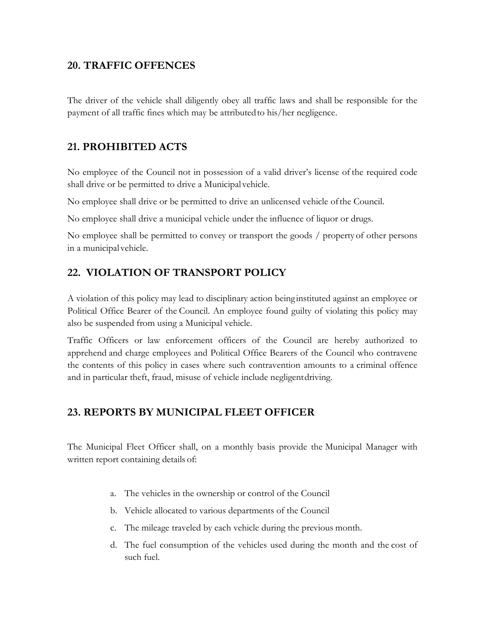## **20. TRAFFIC OFFENCES**

The driver of the vehicle shall diligently obey all traffic laws and shall be responsible for the payment of all traffic fines which may be attributedto his/her negligence.

# **21. PROHIBITED ACTS**

No employee of the Council not in possession of a valid driver's license of the required code shall drive or be permitted to drive a Municipal vehicle.

No employee shall drive or be permitted to drive an unlicensed vehicle ofthe Council.

No employee shall drive a municipal vehicle under the influence of liquor or drugs.

No employee shall be permitted to convey or transport the goods / property of other persons in a municipal vehicle.

# **22. VIOLATION OF TRANSPORT POLICY**

A violation of this policy may lead to disciplinary action being instituted against an employee or Political Office Bearer of the Council. An employee found guilty of violating this policy may also be suspended from using a Municipal vehicle.

Traffic Officers or law enforcement officers of the Council are hereby authorized to apprehend and charge employees and Political Office Bearers of the Council who contravene the contents of this policy in cases where such contravention amounts to a criminal offence and in particular theft, fraud, misuse of vehicle include negligentdriving.

# **23. REPORTS BY MUNICIPAL FLEET OFFICER**

The Municipal Fleet Officer shall, on a monthly basis provide the Municipal Manager with written report containing details of:

- a. The vehicles in the ownership or control of the Council
- b. Vehicle allocated to various departments of the Council
- c. The mileage traveled by each vehicle during the previous month.
- d. The fuel consumption of the vehicles used during the month and the cost of such fuel.